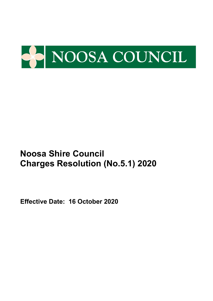

**Effective Date: 16 October 2020**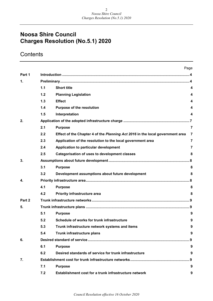## **Contents**

|        |     |                                                                               | Page           |
|--------|-----|-------------------------------------------------------------------------------|----------------|
| Part 1 |     |                                                                               |                |
| 1.     |     |                                                                               |                |
|        | 1.1 | <b>Short title</b>                                                            | 4              |
|        | 1.2 | <b>Planning Legislation</b>                                                   | 4              |
|        | 1.3 | <b>Effect</b>                                                                 | 4              |
|        | 1.4 | Purpose of the resolution                                                     | 4              |
|        | 1.5 | Interpretation                                                                | 4              |
| 2.     |     |                                                                               |                |
|        | 2.1 | <b>Purpose</b>                                                                | $\overline{7}$ |
|        | 2.2 | Effect of the Chapter 4 of the Planning Act 2016 in the local government area | 7              |
|        | 2.3 | Application of the resolution to the local government area                    | $\overline{7}$ |
|        | 2.4 | Application to particular development                                         | $\overline{7}$ |
|        | 2.5 | <b>Categorisation of uses to development classes</b>                          | 8              |
| 3.     |     |                                                                               |                |
|        | 3.1 | <b>Purpose</b>                                                                | 8              |
|        | 3.2 | Development assumptions about future development                              | 8              |
| 4.     |     |                                                                               |                |
|        | 4.1 | <b>Purpose</b>                                                                | 8              |
|        | 4.2 | <b>Priority infrastructure area</b>                                           | 8              |
| Part 2 |     |                                                                               |                |
| 5.     |     |                                                                               |                |
|        | 5.1 | <b>Purpose</b>                                                                | 9              |
|        | 5.2 | Schedule of works for trunk infrastructure                                    | 9              |
|        | 5.3 | Trunk infrastructure network systems and items                                | 9              |
|        | 5.4 | Trunk infrastructure plans                                                    | 9              |
| 6.     |     |                                                                               | . 9            |
|        | 6.1 | <b>Purpose</b>                                                                | 9              |
|        | 6.2 | Desired standards of service for trunk infrastructure                         | 9              |
| 7.     |     |                                                                               | . 9            |
|        | 7.1 | <b>Purpose</b>                                                                | 9              |
|        | 7.2 | Establishment cost for a trunk infrastructure network                         | 9              |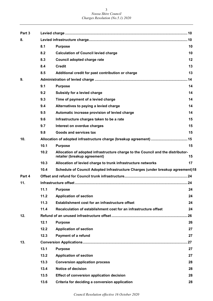| Part 3 |      |                                                                                                                 |    |
|--------|------|-----------------------------------------------------------------------------------------------------------------|----|
| 8.     |      |                                                                                                                 |    |
|        | 8.1  | <b>Purpose</b>                                                                                                  | 10 |
|        | 8.2  | <b>Calculation of Council levied charge</b>                                                                     | 10 |
|        | 8.3  | Council adopted charge rate                                                                                     | 12 |
|        | 8.4  | <b>Credit</b>                                                                                                   | 13 |
|        | 8.5  | Additional credit for past contribution or charge                                                               | 13 |
| 9.     |      |                                                                                                                 |    |
|        | 9.1  | <b>Purpose</b>                                                                                                  | 14 |
|        | 9.2  | Subsidy for a levied charge                                                                                     | 14 |
|        | 9.3  | Time of payment of a levied charge                                                                              | 14 |
|        | 9.4  | Alternatives to paying a levied charge                                                                          | 14 |
|        | 9.5  | Automatic increase provision of levied charge                                                                   | 14 |
|        | 9.6  | Infrastructure charges taken to be a rate                                                                       | 15 |
|        | 9.7  | Interest on overdue charges                                                                                     | 15 |
|        | 9.8  | Goods and services tax                                                                                          | 15 |
| 10.    |      |                                                                                                                 |    |
|        | 10.1 | <b>Purpose</b>                                                                                                  | 15 |
|        | 10.2 | Allocation of adopted infrastructure charge to the Council and the distributor-<br>retailer (breakup agreement) | 15 |
|        | 10.3 | Allocation of levied charge to trunk infrastructure networks                                                    | 17 |
|        | 10.4 | Schedule of Council Adopted Infrastructure Charges (under breakup agreement)18                                  |    |
| Part 4 |      |                                                                                                                 |    |
| 11.    |      |                                                                                                                 |    |
|        |      | 11.1 Purpose                                                                                                    | 24 |
|        | 11.2 | <b>Application of section</b>                                                                                   | 24 |
|        | 11.3 | Establishment cost for an infrastructure offset                                                                 | 24 |
|        | 11.4 | Recalculation of establishment cost for an infrastructure offset                                                | 24 |
| 12.    |      |                                                                                                                 |    |
|        | 12.1 | <b>Purpose</b>                                                                                                  | 26 |
|        | 12.2 | <b>Application of section</b>                                                                                   | 27 |
|        | 12.3 | <b>Payment of a refund</b>                                                                                      | 27 |
| 13.    |      |                                                                                                                 |    |
|        | 13.1 | <b>Purpose</b>                                                                                                  | 27 |
|        | 13.2 | <b>Application of section</b>                                                                                   | 27 |
|        | 13.3 | <b>Conversion application process</b>                                                                           | 28 |
|        | 13.4 | <b>Notice of decision</b>                                                                                       | 28 |
|        | 13.5 | Effect of conversion application decision                                                                       | 28 |
|        | 13.6 | Criteria for deciding a conversion application                                                                  | 28 |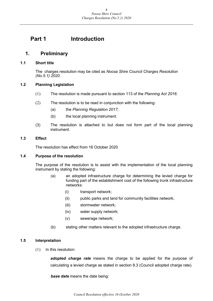## <span id="page-3-0"></span>**Part 1 Introduction**

## <span id="page-3-1"></span>**1. Preliminary**

#### <span id="page-3-2"></span>**1.1 Short title**

The charges resolution may be cited as *Noosa Shire Council Charges Resolution (No.5.1) 2020*.

#### <span id="page-3-3"></span>**1.2 Planning Legislation**

- (1) The resolution is made pursuant to section 113 of the *Planning Act 2016*.
- (2) The resolution is to be read in conjunction with the following:
	- (a) the *Planning Regulation 2017*;
	- (b) the local planning instrument.
- (3) The resolution is attached to but does not form part of the local planning instrument.

#### <span id="page-3-4"></span>**1.3 Effect**

The resolution has effect from 16 October 2020

#### <span id="page-3-5"></span>**1.4 Purpose of the resolution**

The purpose of the resolution is to assist with the implementation of the local planning instrument by stating the following:

- (a) an adopted infrastructure charge for determining the levied charge for funding part of the establishment cost of the following trunk infrastructure networks:
	- (i) transport network;
	- (ii) public parks and land for community facilities network;
	- (iii) stormwater network;
	- (iv) water supply network;
	- (v) sewerage network;
- (b) stating other matters relevant to the adopted infrastructure charge.

#### <span id="page-3-6"></span>**1.5 Interpretation**

(1) In this resolution:

*adopted charge rate* means the charge to be applied for the purpose of calculating a levied charge as stated in section 8.3 (Council adopted charge rate).

*base date* means the date being: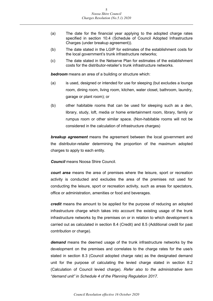- (a) The date for the financial year applying to the adopted charge rates specified in section 10.4 (Schedule of Council Adopted Infrastructure Charges (under breakup agreement)).
- (b) The date stated in the LGIP for estimates of the establishment costs for the local government's trunk infrastructure networks;
- (c) The date stated in the Netserve Plan for estimates of the establishment costs for the distributor-retailer's trunk infrastructure networks.

*bedroom* means an area of a building or structure which:

- (a) is used, designed or intended for use for sleeping (but excludes a lounge room, dining room, living room, kitchen, water closet, bathroom, laundry, garage or plant room); or
- (b) other habitable rooms that can be used for sleeping such as a den, library, study, loft, media or home entertainment room, library, family or rumpus room or other similar space. (Non-habitable rooms will not be considered in the calculation of infrastructure charges)

*breakup agreement* means the agreement between the local government and the distributor-retailer determining the proportion of the maximum adopted charges to apply to each entity.

*Council* means Noosa Shire Council.

*court area* means the area of premises where the leisure, sport or recreation activity is conducted and excludes the area of the premises not used for conducting the leisure, sport or recreation activity, such as areas for spectators, office or administration, amenities or food and beverages.

*credit* means the amount to be applied for the purpose of reducing an adopted infrastructure charge which takes into account the existing usage of the trunk infrastructure networks by the premises on or in relation to which development is carried out as calculated in section 8.4 (Credit) and 8.5 (Additional credit for past contribution or charge).

*demand* means the deemed usage of the trunk infrastructure networks by the development on the premises and correlates to the charge rates for the use/s stated in section 8.3 (Council adopted charge rate) as the designated demand unit for the purpose of calculating the levied charge stated in section 8.2 (Calculation of Council levied charge). *Refer also to the administrative term "demand unit" in Schedule 4 of the Planning Regulation 2017.*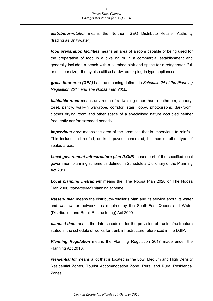*distributor-retailer* means the Northern SEQ Distributor-Retailer Authority (trading as Unitywater).

*food preparation facilities* means an area of a room capable of being used for the preparation of food in a dwelling or in a commercial establishment and generally includes a bench with a plumbed sink and space for a refrigerator (full or mini bar size). It may also utilise hardwired or plug-in type appliances.

*gross floor area (GFA)* has the meaning defined in *Schedule 24 of the Planning Regulation 2017 and The Noosa Plan 2020.*

*habitable room* means any room of a dwelling other than a bathroom, laundry, toilet, pantry, walk-in wardrobe, corridor, stair, lobby, photographic darkroom, clothes drying room and other space of a specialised nature occupied neither frequently nor for extended periods.

*impervious area* means the area of the premises that is impervious to rainfall. This includes all roofed, decked, paved, concreted, bitumen or other type of sealed areas.

*Local government infrastructure plan (LGIP)* means part of the specified local government planning scheme as defined in Schedule 2 Dictionary of the Planning Act 2016.

*Local planning instrument* means the: The Noosa Plan 2020 or The Noosa Plan 2006 *(superseded)* planning scheme.

*Netserv plan* means the distributor-retailer's plan and its service about its water and wastewater networks as required by the South-East Queensland Water (Distribution and Retail Restructuring) Act 2009.

*planned date* means the date scheduled for the provision of trunk infrastructure stated in the schedule of works for trunk infrastructure referenced in the LGIP.

*Planning Regulation* means the Planning Regulation 2017 made under the Planning Act 2016.

*residential lot* means a lot that is located in the Low, Medium and High Density Residential Zones, Tourist Accommodation Zone, Rural and Rural Residential Zones.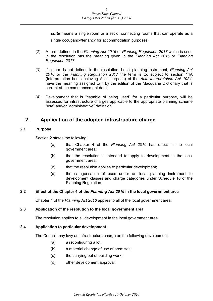*suite* means a single room or a set of connecting rooms that can operate as a single occupancy/tenancy for accommodation purposes.

- (2) A term defined in the *Planning Act 2016* or *Planning Regulation 2017* which is used in the resolution has the meaning given in the *Planning Act 2016* or *Planning Regulation 2017*.
- (3) If a term is not defined in the resolution, Local planning instrument, *Planning Act 2016* or the *Planning Regulation 2017* the term is to, subject to section 14A (Interpretation best achieving Act's purpose) of the *Acts Interpretation Act 1954*, have the meaning assigned to it by the edition of the Macquarie Dictionary that is current at the commencement date.
- (4) Development that is "capable of being used" for a particular purpose, will be assessed for infrastructure charges applicable to the appropriate planning scheme "use" and/or "administrative" definition.

## <span id="page-6-0"></span>**2. Application of the adopted infrastructure charge**

#### <span id="page-6-1"></span>**2.1 Purpose**

Section 2 states the following:

- (a) that Chapter 4 of the *Planning Act 2016* has effect in the local government area;
- (b) that the resolution is intended to apply to development in the local government area;
- (c) that the resolution applies to particular development;
- (d) the categorisation of uses under an local planning instrument to development classes and charge categories under Schedule 16 of the Planning Regulation.

#### <span id="page-6-2"></span>**2.2 Effect of the Chapter 4 of the** *Planning Act 2016* **in the local government area**

Chapter 4 of the *Planning Act 2016* applies to all of the local government area.

#### <span id="page-6-3"></span>**2.3 Application of the resolution to the local government area**

The resolution applies to all development in the local government area.

#### <span id="page-6-4"></span>**2.4 Application to particular development**

The Council may levy an infrastructure charge on the following development:

- (a) a reconfiguring a lot;
- (b) a material change of use of premises;
- (c) the carrying out of building work;
- (d) other development approval.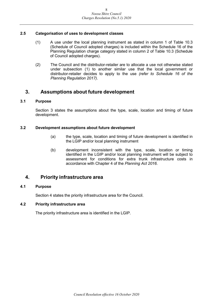#### <span id="page-7-0"></span>**2.5 Categorisation of uses to development classes**

- (1) A use under the local planning instrument as stated in column 1 of Table 10.3 (Schedule of Council adopted charges) is included within the Schedule 16 of the Planning Regulation charge category stated in column 2 of Table 10.3 (Schedule of Council adopted charges).
- (2) The Council and the distributor-retailer are to allocate a use not otherwise stated under subsection (1) to another similar use that the local government or distributor-retailer decides to apply to the use *(refer to Schedule 16 of the Planning Regulation 2017)*.

## <span id="page-7-1"></span>**3. Assumptions about future development**

#### <span id="page-7-2"></span>**3.1 Purpose**

Section 3 states the assumptions about the type, scale, location and timing of future development.

#### <span id="page-7-3"></span>**3.2 Development assumptions about future development**

- (a) the type, scale, location and timing of future development is identified in the LGIP and/or local planning instrument
- (b) development inconsistent with the type, scale, location or timing identified in the LGIP and/or local planning instrument will be subject to assessment for conditions for extra trunk infrastructure costs in accordance with Chapter 4 of the *Planning Act 2016*.

## <span id="page-7-4"></span>**4. Priority infrastructure area**

#### <span id="page-7-5"></span>**4.1 Purpose**

Section 4 states the priority infrastructure area for the Council.

#### <span id="page-7-6"></span>**4.2 Priority infrastructure area**

The priority infrastructure area is identified in the LGIP.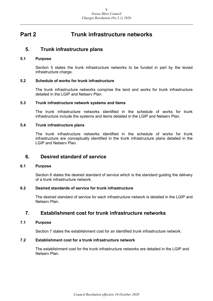## <span id="page-8-0"></span>**Part 2 Trunk infrastructure networks**

### <span id="page-8-1"></span>**5. Trunk infrastructure plans**

#### <span id="page-8-2"></span>**5.1 Purpose**

Section 5 states the trunk infrastructure networks to be funded in part by the levied infrastructure charge.

#### <span id="page-8-3"></span>**5.2 Schedule of works for trunk infrastructure**

The trunk infrastructure networks comprise the land and works for trunk infrastructure detailed in the LGIP and Netserv Plan.

#### <span id="page-8-4"></span>**5.3 Trunk infrastructure network systems and items**

The trunk infrastructure networks identified in the schedule of works for trunk infrastructure include the systems and items detailed in the LGIP and Netserv Plan.

#### <span id="page-8-5"></span>**5.4 Trunk infrastructure plans**

The trunk infrastructure networks identified in the schedule of works for trunk infrastructure are conceptually identified in the trunk infrastructure plans detailed in the LGIP and Netserv Plan.

### <span id="page-8-6"></span>**6. Desired standard of service**

#### <span id="page-8-7"></span>**6.1 Purpose**

Section 6 states the desired standard of service which is the standard guiding the delivery of a trunk infrastructure network.

#### <span id="page-8-8"></span>**6.2 Desired standards of service for trunk infrastructure**

The desired standard of service for each infrastructure network is detailed in the LGIP and Netserv Plan.

## <span id="page-8-9"></span>**7. Establishment cost for trunk infrastructure networks**

#### <span id="page-8-10"></span>**7.1 Purpose**

Section 7 states the establishment cost for an identified trunk infrastructure network.

#### <span id="page-8-11"></span>**7.2 Establishment cost for a trunk infrastructure network**

The establishment cost for the trunk infrastructure networks are detailed in the LGIP and Netserv Plan.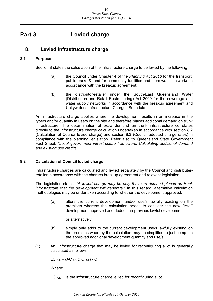## <span id="page-9-0"></span>**Part 3 Levied charge**

## <span id="page-9-1"></span>**8. Levied infrastructure charge**

#### <span id="page-9-2"></span>**8.1 Purpose**

Section 8 states the calculation of the infrastructure charge to be levied by the following:

- (a) the Council under Chapter 4 of the *Planning Act 2016* for the transport, public parks & land for community facilities and stormwater networks in accordance with the breakup agreement;
- (b) the distributor-retailer under the South-East Queensland Water (Distribution and Retail Restructuring) Act 2009 for the sewerage and water supply networks in accordance with the breakup agreement and Unitywater's Infrastructure Charges Schedule.

An infrastructure charge applies where the development results in an increase in the type/s and/or quantity in use/s on the site and therefore places additional demand on trunk infrastructure. The determination of extra demand on trunk infrastructure correlates directly to the infrastructure charge calculation undertaken in accordance with section 8.2 (Calculation of Council levied charge) and section 8.3 (Council adopted charge rates) in compliance with the planning legislation. Refer also to Queensland State Government Fact Sheet: *"Local government infrastructure framework, Calculating additional demand and existing use credits"*.

#### <span id="page-9-3"></span>**8.2 Calculation of Council levied charge**

Infrastructure charges are calculated and levied separately by the Council and distributerretailer in accordance with the charges breakup agreement and relevant legislation.

The legislation states: *"A levied charge may be only for extra demand placed on trunk infrastructure that the development will generate."* In this regard, alternative calculation methodologies may be undertaken according to whether the development approved:

(a) alters the current development and/or use/s lawfully existing on the premises whereby the calculation needs to consider the new "total" development approved and deduct the previous lawful development;

or alternatively:

- (b) simply only adds to the current development use/s lawfully existing on the premises whereby the calculation may be simplified to just comprise the approved additional development quantity and use/s.
- (1) An infrastructure charge that may be levied for reconfiguring a lot is generally calculated as follows:

 $LC_{\text{ROL}} = (AC_{\text{ROL}} \times Q_{\text{ROL}}) - C$ 

Where:

 $LC_{\text{ROI}}$  is the infrastructure charge levied for reconfiguring a lot.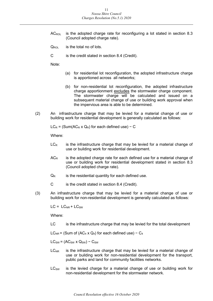- AC<sub>ROL</sub> is the adopted charge rate for reconfiguring a lot stated in section 8.3 (Council adopted charge rate).
- $Q_{\text{ROI}}$  is the total no of lots.
- C is the credit stated in section 8.4 (Credit).

Note:

- (a) for residential lot reconfiguration, the adopted infrastructure charge is apportioned across all networks;
- (b) for non-residential lot reconfiguration, the adopted infrastructure charge apportionment excludes the stormwater charge component. The stormwater charge will be calculated and issued on a subsequent material change of use or building work approval when the impervious area is able to be determined.
- (2) An infrastructure charge that may be levied for a material change of use or building work for residential development is generally calculated as follows:

 $LC_R = (Sum(AC_R \times Q_R)$  for each defined use) – C

Where:

- $LC<sub>R</sub>$  is the infrastructure charge that may be levied for a material change of use or building work for residential development.
- $AC<sub>R</sub>$  is the adopted charge rate for each defined use for a material change of use or building work for residential development stated in section 8.3 (Council adopted charge rate).
- $Q_R$  is the residential quantity for each defined use.
- C is the credit stated in section 8.4 (Credit).
- (3) An infrastructure charge that may be levied for a material change of use or building work for non-residential development is generally calculated as follows:

 $LC = LC_{NR} + LC_{SW}$ 

Where:

LC is the infrastructure charge that may be levied for the total development

LC<sub>NR</sub> = (Sum of (AC<sub>4</sub> x Q<sub>4</sub>) for each defined use) – C<sub>4</sub>

 $LC_{SW} = (AC_{SW} \times Q_{SW}) - C_{SW}$ 

- $LC<sub>NR</sub>$  is the infrastructure charge that may be levied for a material change of use or building work for non-residential development for the transport, public parks and land for community facilities networks.
- $LC<sub>SW</sub>$  is the levied charge for a material change of use or building work for non-residential development for the stormwater network.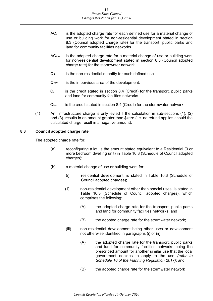- $AC<sub>4</sub>$  is the adopted charge rate for each defined use for a material change of use or building work for non-residential development stated in section 8.3 (Council adopted charge rate) for the transport, public parks and land for community facilities networks.
- $AC<sub>SW</sub>$  is the adopted charge rate for a material change of use or building work for non-residential development stated in section 8.3 (Council adopted charge rate) for the stormwater network.
- $Q_4$  is the non-residential quantity for each defined use.
- $Q_{SW}$  is the impervious area of the development.
- $C_4$  is the credit stated in section 8.4 (Credit) for the transport, public parks and land for community facilities networks.
- $C_{SW}$  is the credit stated in section 8.4 (Credit) for the stormwater network.
- (4) An infrastructure charge is only levied if the calculation in sub-sections (1), (2) and (3) results in an amount greater than \$zero (i.e. no refund applies should the calculated charge result in a negative amount).

#### <span id="page-11-0"></span>**8.3 Council adopted charge rate**

The adopted charge rate for:

- (a) reconfiguring a lot, is the amount stated equivalent to a Residential (3 or more bedroom dwelling unit) in Table 10.3 (Schedule of Council adopted charges);
- (b) a material change of use or building work for:
	- (i) residential development, is stated in Table 10.3 (Schedule of Council adopted charges);
	- (ii) non-residential development other than special uses, is stated in Table 10.3 (Schedule of Council adopted charges), which comprises the following:
		- (A) the adopted charge rate for the transport, public parks and land for community facilities networks; and
		- (B) the adopted charge rate for the stormwater network;
	- (iii) non-residential development being other uses or development not otherwise identified in paragraphs (i) or (ii):
		- (A) the adopted charge rate for the transport, public parks and land for community facilities networks being the prescribed amount for another similar use that the local government decides to apply to the use *(refer to Schedule 16 of the Planning Regulation 2017)*; and
		- (B) the adopted charge rate for the stormwater network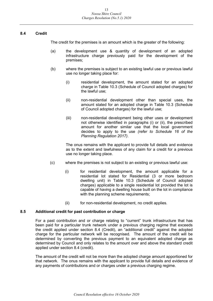#### <span id="page-12-0"></span>**8.4 Credit**

The credit for the premises is an amount which is the greater of the following:

- (a) the development use & quantity of development of an adopted infrastructure charge previously paid for the development of the premises;
- (b) where the premises is subject to an existing lawful use or previous lawful use no longer taking place for:
	- (i) residential development, the amount stated for an adopted charge in Table 10.3 (Schedule of Council adopted charges) for the lawful use;
	- (ii) non-residential development other than special uses, the amount stated for an adopted charge in Table 10.3 (Schedule of Council adopted charges) for the lawful use;
	- (iii) non-residential development being other uses or development not otherwise identified in paragraphs (i) or (ii), the prescribed amount for another similar use that the local government decides to apply to the use *(refer to Schedule 16 of the Planning Regulation 2017)*.

The onus remains with the applicant to provide full details and evidence as to the extent and lawfulness of any claim for a credit for a previous use no longer taking place.

- (c) where the premises is not subject to an existing or previous lawful use:
	- (i) for residential development, the amount applicable for a residential lot stated for Residential (3 or more bedroom dwelling unit) in Table 10.3 (Schedule of Council adopted charges) applicable to a single residential lot provided the lot is capable of having a dwelling house built on the lot in compliance with the planning scheme requirements;
	- (ii) for non-residential development, no credit applies.

#### <span id="page-12-1"></span>**8.5 Additional credit for past contribution or charge**

For a past contribution and or charge relating to "current" trunk infrastructure that has been paid for a particular trunk network under a previous charging regime that exceeds the credit applied under section 8.4 (Credit), an "additional credit" against the adopted charge for the particular network will be recognised. The amount of the credit will be determined by converting the previous payment to an equivalent adopted charge as determined by Council and only relates to the amount over and above the standard credit applied under section 8.4 (credit).

The amount of the credit will not be more than the adopted charge amount apportioned for that network. The onus remains with the applicant to provide full details and evidence of any payments of contributions and or charges under a previous charging regime.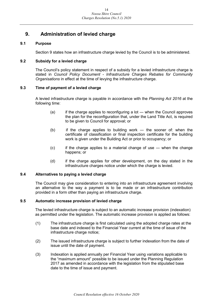## <span id="page-13-0"></span>**9. Administration of levied charge**

#### <span id="page-13-1"></span>**9.1 Purpose**

Section 9 states how an infrastructure charge levied by the Council is to be administered.

#### <span id="page-13-2"></span>**9.2 Subsidy for a levied charge**

The Council's policy statement in respect of a subsidy for a levied infrastructure charge is stated in *Council Policy Document - Infrastructure Charges Rebates for Community Organisations* in effect at the time of levying the infrastructure charge.

#### <span id="page-13-3"></span>**9.3 Time of payment of a levied charge**

A levied infrastructure charge is payable in accordance with the *Planning Act 2016* at the following time:

- $(a)$  if the charge applies to reconfiguring a lot when the Council approves the plan for the reconfiguration that, under the Land Title Act, is required to be given to Council for approval; or
- (b) if the charge applies to building work ― the sooner of: when the certificate of classification or final inspection certificate for the building work is given under the Building Act or prior to occupancy; or
- (c) if the charge applies to a material change of use ― when the change happens; or
- (d) if the charge applies for other development, on the day stated in the infrastructure charges notice under which the charge is levied.

#### <span id="page-13-4"></span>**9.4 Alternatives to paying a levied charge**

The Council may give consideration to entering into an infrastructure agreement involving an alternative to the way a payment is to be made or an infrastructure contribution provided in a form other than paying an infrastructure charge.

#### <span id="page-13-5"></span>**9.5 Automatic increase provision of levied charge**

The levied infrastructure charge is subject to an automatic increase provision (indexation) as permitted under the legislation. The automatic increase provision is applied as follows:

- (1) The infrastructure charge is first calculated using the adopted charge rates at the base date and indexed to the Financial Year current at the time of issue of the infrastructure charge notice;
- (2) The issued infrastructure charge is subject to further indexation from the date of issue until the date of payment.
- (3) Indexation is applied annually per Financial Year using variations applicable to the "maximum amount" possible to be issued under the Planning Regulation 2017 as amended in accordance with the legislation from the stipulated base date to the time of issue and payment.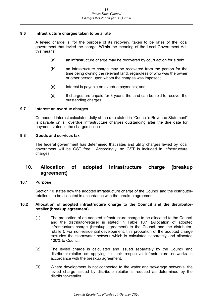#### <span id="page-14-0"></span>**9.6 Infrastructure charges taken to be a rate**

A levied charge is, for the purpose of its recovery, taken to be rates of the local government that levied the charge. Within the meaning of the Local Government Act, this means:

- (a) an infrastructure charge may be recovered by court action for a debt;
- (b) an infrastructure charge may be recovered from the person for the time being owning the relevant land, regardless of who was the owner or other person upon whom the charges was imposed;
- (c) Interest is payable on overdue payments; and
- (d) If charges are unpaid for 3 years, the land can be sold to recover the outstanding charges.

#### <span id="page-14-1"></span>**9.7 Interest on overdue charges**

Compound interest calculated daily at the rate stated in "Council's Revenue Statement" is payable on all overdue infrastructure charges outstanding after the due date for payment stated in the charges notice.

#### <span id="page-14-2"></span>**9.8 Goods and services tax**

The federal government has determined that rates and utility charges levied by local government will be GST free. Accordingly, no GST is included in infrastructure charges.

## <span id="page-14-3"></span>**10. Allocation of adopted infrastructure charge (breakup agreement)**

#### <span id="page-14-4"></span>**10.1 Purpose**

Section 10 states how the adopted infrastructure charge of the Council and the distributorretailer is to be allocated in accordance with the breakup agreement.

#### <span id="page-14-5"></span>**10.2 Allocation of adopted infrastructure charge to the Council and the distributorretailer (breakup agreement)**

- (1) The proportion of an adopted infrastructure charge to be allocated to the Council and the distributor-retailer is stated in Table 10.1 (Allocation of adopted infrastructure charge (breakup agreement) to the Council and the distributorretailer). For non-residential development, this proportion of the adopted charge excludes the stormwater network which is calculated separately and allocated 100% to Council.
- (2) The levied charge is calculated and issued separately by the Council and distributor-retailer as applying to their respective infrastructure networks in accordance with the breakup agreement.
- (3) Where development is not connected to the water and sewerage networks, the levied charge issued by distributor-retailer is reduced as determined by the distributor-retailer.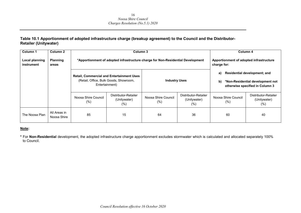#### **Table 10.1 Apportionment of adopted infrastructure charge (breakup agreement) to the Council and the Distributor-Retailer (Unitywater)**

| Column 1                     | Column 2                    |                             | Column 3                                                                                                     |                                                                                 |                                                        |                            | Column 4                                                                                                   |
|------------------------------|-----------------------------|-----------------------------|--------------------------------------------------------------------------------------------------------------|---------------------------------------------------------------------------------|--------------------------------------------------------|----------------------------|------------------------------------------------------------------------------------------------------------|
| Local planning<br>instrument | <b>Planning</b><br>areas    |                             |                                                                                                              | *Apportionment of adopted infrastructure charge for Non-Residential Development | Apportionment of adopted infrastructure<br>charge for: |                            |                                                                                                            |
|                              |                             |                             | <b>Retail, Commercial and Entertainment Uses</b><br>(Retail, Office, Bulk Goods, Showroom,<br>Entertainment) | <b>Industry Uses</b>                                                            |                                                        | a)<br>b)                   | <b>Residential development; and</b><br>*Non-Residential development not<br>otherwise specified in Column 3 |
|                              |                             | Noosa Shire Council<br>(% ) | Distributor-Retailer<br>(Unitywater)<br>$(\% )$                                                              | Noosa Shire Council<br>$(\%)$                                                   | Distributor-Retailer<br>(Unitywater)<br>(%)            | Noosa Shire Council<br>(%) | Distributor-Retailer<br>(Unitywater)<br>$(\% )$                                                            |
| The Noosa Plan               | All Areas in<br>Noosa Shire | 85                          | 15                                                                                                           | 64                                                                              | 36                                                     | 60                         | 40                                                                                                         |

#### **Note:**

**\*** For **Non-Residential** development, the adopted infrastructure charge apportionment excludes stormwater which is calculated and allocated separately 100% to Council.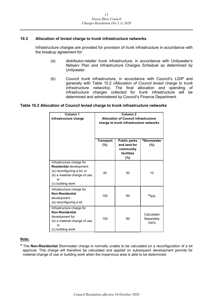#### <span id="page-16-0"></span>**10.3 Allocation of levied charge to trunk infrastructure networks**

Infrastructure charges are provided for provision of trunk infrastructure in accordance with the breakup agreement for:

- (a) distributor-retailer trunk infrastructure, in accordance with Unitywater's Netserv Plan and Infrastructure Charges Schedule as determined by Unitywater.
- (b) Council trunk infrastructure, in accordance with Council's LGIP and generally with Table 10.2 *(Allocation of Council levied charge to trunk infrastructure networks)*. The final allocation and spending of infrastructure charges collected for trunk infrastructure will be determined and administered by Council's Finance Department.

#### **Table 10.2 Allocation of Council levied charge to trunk infrastructure networks**

| Column <sub>1</sub><br>Infrastructure charge                                                                                                            | Column <sub>2</sub><br><b>Allocation of Council infrastructure</b><br>charge to trunk infrastructure networks |                                                                       |                                  |  |  |
|---------------------------------------------------------------------------------------------------------------------------------------------------------|---------------------------------------------------------------------------------------------------------------|-----------------------------------------------------------------------|----------------------------------|--|--|
|                                                                                                                                                         | <b>Transport</b><br>(%)                                                                                       | <b>Public parks</b><br>and land for<br>community<br>facilities<br>(%) | #Stormwater<br>(%)               |  |  |
| Infrastructure charge for<br><b>Residential development:</b><br>(a) reconfiguring a lot; or<br>(b) a material change of use;<br>or<br>(c) building work | 40                                                                                                            | 50                                                                    | 10                               |  |  |
| Infrastructure charge for<br>Non-Residential<br>development :<br>(a) reconfiguring a lot                                                                | 100                                                                                                           | Nil                                                                   | $*_{N/A}$                        |  |  |
| Infrastructure charge for<br><b>Non-Residential</b><br>development for:<br>(b) a material change of use;<br>or<br>(c) building work                     | 100                                                                                                           | Nil                                                                   | Calculated<br>Separately<br>100% |  |  |

#### **Note:**

**\*** The **Non-Residential** Stormwater charge is normally unable to be calculated on a reconfiguration of a lot approval. This charge will therefore be calculated and applied on subsequent development permits for material change of use or building work when the impervious area is able to be determined.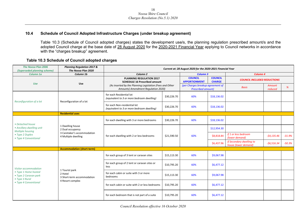#### **10.4 Schedule of Council Adopted Infrastructure Charges (under breakup agreement)**

Table 10.3 (Schedule of Council adopted charges) states the development use/s, the planning regulation prescribed amount/s and the adopted Council charge at the base date of 28 August 2020 for the 2020-2021 Financial Year applying to Council networks in accordance with the "charges breakup" agreement.

#### **Table 10.3 Schedule of Council adopted charges**

<span id="page-17-0"></span>

| <b>The Noosa Plan 2006</b><br>(Superseded planning scheme)      | <b>Planning Regulation 2017 &amp;</b><br>The Noosa Plan 2020                               |                                                                                                 | Current at: 28 August 2020 for the 2020-2021 Financial Year |                                                                |                                 |                                                  |                          |          |
|-----------------------------------------------------------------|--------------------------------------------------------------------------------------------|-------------------------------------------------------------------------------------------------|-------------------------------------------------------------|----------------------------------------------------------------|---------------------------------|--------------------------------------------------|--------------------------|----------|
| Column 1a                                                       | Column 1b                                                                                  | Column <sub>2</sub>                                                                             |                                                             | <b>Column 3</b>                                                |                                 | Column 4                                         |                          |          |
| <b>Use</b>                                                      | Use                                                                                        | <b>PLANNING REGULATION 2017</b><br><b>SCHEDULE 16 Prescribed amount</b>                         |                                                             | <b>COUNCIL</b><br><b>APPORTIONMENT</b>                         | <b>COUNCIL</b><br><b>CHARGE</b> | <b>COUNCIL INCLUDED REDUCTIONS</b>               |                          |          |
|                                                                 |                                                                                            | (As inserted by the Planning Legislation (Fees and Other<br>Amounts) Amendment Regulation 2020) |                                                             | (per Charges breakup agreement of<br><b>Prescribed amount)</b> |                                 | <b>Basis</b>                                     | <b>Amount</b><br>reduced | %        |
| Reconfiguration of a lot                                        | Reconfiguration of a lot                                                                   | for each Residential lot<br>(equivalent to 3 or more bedroom dwelling)                          | \$30,226.70                                                 | 60%                                                            | \$18,136.02                     |                                                  |                          |          |
|                                                                 |                                                                                            | for each Non-residential lot<br>(equivalent to 3 or more bedroom dwelling)                      | \$30,226.70                                                 | 60%                                                            | \$18,136.02                     |                                                  |                          |          |
|                                                                 | <b>Residential uses</b>                                                                    |                                                                                                 |                                                             |                                                                |                                 |                                                  |                          |          |
| • Detached house                                                |                                                                                            | for each dwelling with 3 or more bedrooms                                                       | \$30,226.70                                                 | 60%                                                            | \$18,136.02                     |                                                  |                          |          |
| • Ancillary dwelling unit<br>Multiple housing                   | 1 Dwelling house<br>2 Dual occupancy<br>3 Caretaker's accommodation<br>4 Multiple dwelling | for each dwelling with 2 or less bedrooms                                                       | \$21,590.50                                                 |                                                                | \$12,954.30                     |                                                  |                          |          |
| • Type 2 Duplex<br>• Type 4 Conventional                        |                                                                                            |                                                                                                 |                                                             | 60%                                                            | \$8,818.84                      | if 1 or less bedroom<br>(lower demand)           | $-54,135.46$             | $-31.9%$ |
|                                                                 |                                                                                            |                                                                                                 |                                                             |                                                                | \$6,437.96                      | if Secondary dwelling to<br>house (lower demand) | $-56,516.34$             | $-50.3%$ |
|                                                                 | <b>Accommodation (short-term)</b>                                                          |                                                                                                 |                                                             |                                                                |                                 |                                                  |                          |          |
|                                                                 |                                                                                            | for each group of 3 tent or caravan sites                                                       | \$15,113.30                                                 | 60%                                                            | \$9,067.98                      |                                                  |                          |          |
| Visitor accommodation                                           |                                                                                            | for each group of 2 tent or caravan sites or<br>less                                            | \$10,795.20                                                 | 60%                                                            | \$6,477.12                      |                                                  |                          |          |
| • Type 1 Home hosted<br>• Type 2 Caravan park<br>• Type 3 Rural | 1 Tourist park<br>2 Hotel<br>3 Short-term accommodation                                    | for each cabin or suite with 3 or more<br>bedrooms                                              | \$15,113.30                                                 | 60%                                                            | \$9,067.98                      |                                                  |                          |          |
| • Type 4 Conventional                                           | 4 Resort complex                                                                           | for each cabin or suite with 2 or less bedrooms                                                 | \$10,795.20                                                 | 60%                                                            | \$6,477.12                      |                                                  |                          |          |
|                                                                 |                                                                                            | for each bedroom that is not part of a suite                                                    | \$10,795.20                                                 | 60%                                                            | \$6,477.12                      |                                                  |                          |          |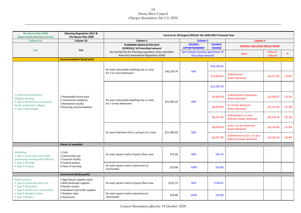| <b>The Noosa Plan 2006</b><br>(Superseded planning scheme)                            | <b>Planning Regulation 2017 &amp;</b><br>The Noosa Plan 2020                  | Current at: 28 August 2020 for the 2020-2021 Financial Year                                     |             |                                                                |                                 |                                                          |                   |          |
|---------------------------------------------------------------------------------------|-------------------------------------------------------------------------------|-------------------------------------------------------------------------------------------------|-------------|----------------------------------------------------------------|---------------------------------|----------------------------------------------------------|-------------------|----------|
| Column 1a                                                                             | Column 1b                                                                     | Column <sub>2</sub>                                                                             |             | <b>Column 3</b>                                                |                                 | Column <sub>4</sub>                                      |                   |          |
|                                                                                       |                                                                               | <b>PLANNING REGULATION 2017</b><br><b>SCHEDULE 16 Prescribed amount</b>                         |             | <b>COUNCIL</b><br><b>APPORTIONMENT</b>                         | <b>COUNCIL</b><br><b>CHARGE</b> | <b>COUNCIL INCLUDED REDUCTIONS</b>                       |                   |          |
| <b>Use</b>                                                                            | <b>Use</b>                                                                    | (As inserted by the Planning Legislation (Fees and Other<br>Amounts) Amendment Regulation 2020) |             | (per Charges breakup agreement of<br><b>Prescribed amount)</b> |                                 | <b>Basis</b>                                             | Amount<br>reduced | %        |
|                                                                                       | <b>Accommodation (long-term)</b>                                              |                                                                                                 |             |                                                                |                                 |                                                          |                   |          |
|                                                                                       |                                                                               | for each relocatable dwelling site or suite                                                     | \$30,226.70 | 60%                                                            | \$18,136.02                     |                                                          |                   |          |
|                                                                                       |                                                                               | for 3 or more bedrooms                                                                          |             |                                                                | \$13,864.93                     | <b>If Retirement</b><br>(lower demand)                   | $-54,271.09$      | $-23.6%$ |
|                                                                                       |                                                                               | for each relocatable dwelling site or suite<br>for 2 or less bedrooms                           |             |                                                                | \$12,954.30                     |                                                          |                   |          |
| • Community Residence<br><b>Multiple housing</b>                                      | 1 Relocatable home park<br>2 Community residence                              |                                                                                                 | \$21,590.50 | 60%                                                            | \$9,903.68                      | if Retirement 2 bedrooms<br>(lower demand)               | $-53,050.62$      | $-23.5%$ |
| • Type 3 Retirement and special<br>needs (retirement village)<br>• Type 5 Relocatable | 3 Retirement facility<br>4 Rooming accommodation                              |                                                                                                 |             |                                                                | \$8,818.84                      | if 1 or less bedroom<br>(lower demand)                   | $-54,135.46$      | $-31.9%$ |
|                                                                                       |                                                                               |                                                                                                 |             |                                                                | \$6,437.96                      | if Retirement 1 or less<br>bedroom (lower demand)        | $-56,516.34$      | $-50.3%$ |
|                                                                                       |                                                                               | for each bedroom that is not part of a suite                                                    | \$21,590.50 | 60%                                                            | \$8,818.84                      | as for 1 or less bedroom<br>(lower demand)               | -\$4,135.46       | $-31.9%$ |
|                                                                                       |                                                                               |                                                                                                 |             |                                                                | \$6,437.96                      | If Retirement as for 1 or less<br>bedroom (lower demand) | $-56,516.34$      | $-50.3%$ |
|                                                                                       | <b>Places of assembly</b>                                                     |                                                                                                 |             |                                                                |                                 |                                                          |                   |          |
| Wellbeing<br>• Type 2 Social (arts and crafts,<br>community meeting hall CWA etc)     | 1 Club<br>2 Community use<br>3 Function facility                              | for each square metre of gross floor area                                                       | \$75.60     | 60%                                                            | \$45.36                         |                                                          |                   |          |
| • Type 3 Worship<br>• Type 4 Funeral                                                  | 4 Funeral parlour<br>5 Place of worship                                       | for each square metre impervious to<br>stormwater                                               | \$10.80     | 100%                                                           | \$10.80                         |                                                          |                   |          |
|                                                                                       | <b>Commercial (bulk goods)</b>                                                |                                                                                                 |             |                                                                |                                 |                                                          |                   |          |
| <b>Retail business</b><br>• Type 3 Landscape and rural<br>• Type 4 Showroom           | 1 Agricultural supplies store<br>2 Bulk landscape supplies<br>3 Garden centre | for each square metre of gross floor area                                                       | \$151.15    | 85%                                                            | \$128.47                        |                                                          |                   |          |
| · Type 5 Vehicle uses a) Standard<br>• Type 6 Hardware Store<br>• Type 7 Garden       | 4 Hardware and trade supplies<br>5 Outdoor sales<br>6 Showroom                | for each square metre impervious to<br>stormwater                                               | \$10.80     | 100%                                                           | \$10.80                         |                                                          |                   |          |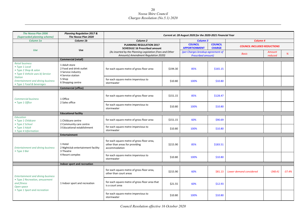| <b>The Noosa Plan 2006</b><br>(Superseded planning scheme)                                            | <b>Planning Regulation 2017 &amp;</b><br>The Noosa Plan 2020                        | Current at: 28 August 2020 for the 2020-2021 Financial Year                                     |          |                                                                |                                                                       |                         |                   |          |
|-------------------------------------------------------------------------------------------------------|-------------------------------------------------------------------------------------|-------------------------------------------------------------------------------------------------|----------|----------------------------------------------------------------|-----------------------------------------------------------------------|-------------------------|-------------------|----------|
| Column 1a                                                                                             | Column 1b                                                                           | Column <sub>2</sub>                                                                             |          | <b>Column 3</b>                                                |                                                                       | Column <sub>4</sub>     |                   |          |
| <b>Use</b>                                                                                            | <b>Use</b>                                                                          | <b>PLANNING REGULATION 2017</b><br><b>SCHEDULE 16 Prescribed amount</b>                         |          | <b>COUNCIL</b><br><b>APPORTIONMENT</b>                         | <b>COUNCIL</b><br><b>COUNCIL INCLUDED REDUCTIONS</b><br><b>CHARGE</b> |                         |                   |          |
|                                                                                                       |                                                                                     | (As inserted by the Planning Legislation (Fees and Other<br>Amounts) Amendment Regulation 2020) |          | (per Charges breakup agreement of<br><b>Prescribed amount)</b> |                                                                       | <b>Basis</b>            | Amount<br>reduced | %        |
|                                                                                                       | <b>Commercial (retail)</b>                                                          |                                                                                                 |          |                                                                |                                                                       |                         |                   |          |
| <b>Retail business</b><br>• Type 1 Local<br>• Type 2 Shop & salon<br>• Type 5 Vehicle uses b) Service | 1 Adult store<br>2 Food and drink outlet<br>3 Service industry<br>4 Service station | for each square metre of gross floor area                                                       | \$194.30 | 85%                                                            | \$165.15                                                              |                         |                   |          |
| <b>Station</b><br><b>Entertainment and dining business</b><br>• Type 1 Food & beverages               | 5 Shop<br>6 Shopping centre                                                         | for each square metre impervious to<br>stormwater                                               | \$10.80  | 100%                                                           | \$10.80                                                               |                         |                   |          |
|                                                                                                       | <b>Commercial (office)</b>                                                          |                                                                                                 |          |                                                                |                                                                       |                         |                   |          |
| <b>Commercial business</b><br>• Type 1 Office                                                         | 1 Office                                                                            | for each square metre of gross floor area                                                       | \$151.15 | 85%                                                            | \$128.47                                                              |                         |                   |          |
|                                                                                                       | 2 Sales office                                                                      | for each square metre impervious to<br>stormwater                                               | \$10.80  | 100%                                                           | \$10.80                                                               |                         |                   |          |
|                                                                                                       | <b>Educational facility</b>                                                         |                                                                                                 |          |                                                                |                                                                       |                         |                   |          |
| Education<br>• Type 1 Childcare<br>• Type 2 School                                                    | 1 Childcare centre<br>2 Community care centre                                       | for each square metre of gross floor area                                                       | \$151.15 | 60%                                                            | \$90.69                                                               |                         |                   |          |
| • Type 3 Adult<br>• Type 4 Information                                                                | 3 Educational establishment                                                         | for each square metre impervious to<br>stormwater                                               | \$10.80  | 100%                                                           | \$10.80                                                               |                         |                   |          |
|                                                                                                       | <b>Entertainment</b>                                                                |                                                                                                 |          |                                                                |                                                                       |                         |                   |          |
| <b>Entertainment and dining business</b><br>• Type 3 Bar                                              | 1 Hotel<br>2 Nightclub entertainment facility<br>3 Theatre                          | for each square metre of gross floor area,<br>other than areas for providing<br>accommodation   | \$215.90 | 85%                                                            | \$183.51                                                              |                         |                   |          |
|                                                                                                       | 4 Resort complex                                                                    | for each square metre impervious to<br>stormwater                                               | \$10.80  | 100%                                                           | \$10.80                                                               |                         |                   |          |
|                                                                                                       | Indoor sport and recreation                                                         |                                                                                                 |          |                                                                |                                                                       |                         |                   |          |
| <b>Entertainment and dining business</b>                                                              |                                                                                     | for each square metre of gross floor area,<br>other than court areas                            | \$215.90 | 60%                                                            | \$81.13                                                               | Lower demand considered | $-548.41$         | $-37.4%$ |
| • Type 2 Recreation, amusement<br>and fitness<br>Open space                                           | 1 Indoor sport and recreation                                                       | for each square metre of gross floor area that<br>is a court area                               | \$21.55  | 60%                                                            | \$12.93                                                               |                         |                   |          |
| • Type 1 Sport and recreation                                                                         |                                                                                     | for each square metre impervious to<br>stormwater                                               | \$10.80  | 100%                                                           | \$10.80                                                               |                         |                   |          |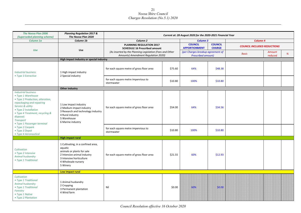| <b>The Noosa Plan 2006</b><br>(Superseded planning scheme)                                                                                                                                                                                                         | <b>Planning Regulation 2017 &amp;</b><br>The Noosa Plan 2020                                                                                                              | Current at: 28 August 2020 for the 2020-2021 Financial Year                                     |         |                                                                |                                 |                                    |                   |   |
|--------------------------------------------------------------------------------------------------------------------------------------------------------------------------------------------------------------------------------------------------------------------|---------------------------------------------------------------------------------------------------------------------------------------------------------------------------|-------------------------------------------------------------------------------------------------|---------|----------------------------------------------------------------|---------------------------------|------------------------------------|-------------------|---|
| Column 1a                                                                                                                                                                                                                                                          | Column 1b                                                                                                                                                                 | Column <sub>2</sub>                                                                             |         | <b>Column 3</b>                                                |                                 | Column 4                           |                   |   |
|                                                                                                                                                                                                                                                                    |                                                                                                                                                                           | <b>PLANNING REGULATION 2017</b><br><b>SCHEDULE 16 Prescribed amount</b>                         |         | <b>COUNCIL</b><br><b>APPORTIONMENT</b>                         | <b>COUNCIL</b><br><b>CHARGE</b> | <b>COUNCIL INCLUDED REDUCTIONS</b> |                   |   |
| Use                                                                                                                                                                                                                                                                | Use                                                                                                                                                                       | (As inserted by the Planning Legislation (Fees and Other<br>Amounts) Amendment Regulation 2020) |         | (per Charges breakup agreement of<br><b>Prescribed amount)</b> |                                 | <b>Basis</b>                       | Amount<br>reduced | % |
|                                                                                                                                                                                                                                                                    | High impact industry or special industry                                                                                                                                  |                                                                                                 |         |                                                                |                                 |                                    |                   |   |
| <b>Industrial business</b><br>• Type 3 Extractive                                                                                                                                                                                                                  | 1 High impact industry<br>2 Special industry                                                                                                                              | for each square metre of gross floor area                                                       | \$75.60 | 64%                                                            | \$48.38                         |                                    |                   |   |
|                                                                                                                                                                                                                                                                    |                                                                                                                                                                           | for each square metre impervious to<br>stormwater                                               | \$10.80 | 100%                                                           | \$10.80                         |                                    |                   |   |
|                                                                                                                                                                                                                                                                    | Other industry                                                                                                                                                            |                                                                                                 |         |                                                                |                                 |                                    |                   |   |
| <b>Industrial business</b><br>• Type 1 Warehouse<br>• Type 2 Production, alteration,<br>repackaging and repairing<br>Service & utility<br>• Type 2 Installation<br>• Type 4 Treatment, recycling &<br>disposal;<br><b>Transport</b><br>• Type 1 Passenger terminal | 1 Low impact industry<br>2 Medium impact industry<br>3 Research and technology industry<br>4 Rural industry<br>5 Warehouse<br>6 Marine industry                           | for each square metre of gross floor area                                                       | \$54.00 | 64%                                                            | \$34.56                         |                                    |                   |   |
| • Type 2 Carpark<br>• Type 3 Depot<br>• Type 4 Aeronautical                                                                                                                                                                                                        |                                                                                                                                                                           | for each square metre impervious to<br>stormwater                                               | \$10.80 | 100%                                                           | \$10.80                         |                                    |                   |   |
|                                                                                                                                                                                                                                                                    | <b>High impact rural</b>                                                                                                                                                  |                                                                                                 |         |                                                                |                                 |                                    |                   |   |
| Cultivation<br>• Type 2 Intensive<br>Animal husbandry<br>• Type 1 Traditional                                                                                                                                                                                      | 1 Cultivating, in a confined area,<br>aquatic<br>animals or plants for sale<br>2 Intensive animal industry<br>3 Intensive horticulture<br>4 Wholesale nursery<br>5 Winery | for each square metre of gross floor area                                                       | \$21.55 | 60%                                                            | \$12.93                         |                                    |                   |   |
|                                                                                                                                                                                                                                                                    | Low impact rural                                                                                                                                                          |                                                                                                 |         |                                                                |                                 |                                    |                   |   |
| Cultivation<br>• Type 1 Traditional<br>Animal husbandry<br>• Type 1 Traditional<br>Forestry<br>• Type 1 Native<br>• Type 2 Plantation                                                                                                                              | 1 Animal husbandry<br>2 Cropping<br>3 Permanent plantation<br>4 Wind farm                                                                                                 | Nil                                                                                             | \$0.00  | 60%                                                            | \$0.00                          |                                    |                   |   |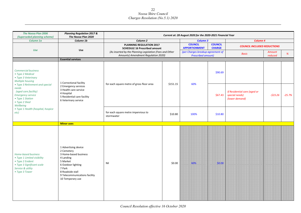| <b>The Noosa Plan 2006</b><br>(Superseded planning scheme)                                                                                                                                   | <b>Planning Regulation 2017 &amp;</b><br>The Noosa Plan 2020                                                                                                                                  |                                                                                                 |          | Current at: 28 August 2020 for the 2020-2021 Financial Year               |         |                                                                  |                          |          |
|----------------------------------------------------------------------------------------------------------------------------------------------------------------------------------------------|-----------------------------------------------------------------------------------------------------------------------------------------------------------------------------------------------|-------------------------------------------------------------------------------------------------|----------|---------------------------------------------------------------------------|---------|------------------------------------------------------------------|--------------------------|----------|
| Column 1a                                                                                                                                                                                    | Column 1b                                                                                                                                                                                     | Column <sub>2</sub>                                                                             |          | <b>Column 3</b>                                                           |         | Column 4                                                         |                          |          |
|                                                                                                                                                                                              |                                                                                                                                                                                               | PLANNING REGULATION 2017<br><b>SCHEDULE 16 Prescribed amount</b>                                |          | <b>COUNCIL</b><br><b>COUNCIL</b><br><b>CHARGE</b><br><b>APPORTIONMENT</b> |         | <b>COUNCIL INCLUDED REDUCTIONS</b>                               |                          |          |
| Use                                                                                                                                                                                          | Use                                                                                                                                                                                           | (As inserted by the Planning Legislation (Fees and Other<br>Amounts) Amendment Regulation 2020) |          | (per Charges breakup agreement of<br><b>Prescribed amount)</b>            |         | <b>Basis</b>                                                     | <b>Amount</b><br>reduced | %        |
|                                                                                                                                                                                              | <b>Essential services</b>                                                                                                                                                                     |                                                                                                 |          |                                                                           |         |                                                                  |                          |          |
| <b>Commercial business</b><br>• Type 2 Medical<br>• Type 3 Veterinary<br><b>Multiple housing</b>                                                                                             | 1 Correctional facility                                                                                                                                                                       |                                                                                                 | \$151.15 | 60%                                                                       | \$90.69 |                                                                  |                          |          |
| • Type 3 Retirement and special<br>needs<br>(aged care facility)<br><b>Emergency service</b><br>• Type 1 Station<br>• Type 2 Shed<br>Wellbeing<br>• Type 1 Health (hospital, hospice<br>etc) | 2 Emergency services<br>3 Health care service<br>4 Hospital<br>5 Residential care facility<br>6 Veterinary service                                                                            | for each square metre of gross floor area                                                       |          |                                                                           | \$67.43 | If Residential care (aged or<br>special needs)<br>(lower demand) | $-523.26$                | $-25.7%$ |
|                                                                                                                                                                                              |                                                                                                                                                                                               | for each square metre impervious to<br>stormwater                                               | \$10.80  | 100%                                                                      | \$10.80 |                                                                  |                          |          |
|                                                                                                                                                                                              | <b>Minor uses</b>                                                                                                                                                                             |                                                                                                 |          |                                                                           |         |                                                                  |                          |          |
| Home-based business<br>• Type 1 Limited visibility<br>• Type 2 Evident<br>• Type 3 Significant scale<br>Service & utility<br>• Type 3 Tower                                                  | 1 Advertising device<br>2 Cemetery<br>3 Home-based business<br>4 Landing<br>5 Market<br>6 Outdoor lighting<br>7 Park<br>8 Roadside stall<br>9 Telecommunications facility<br>10 Temporary use | Nil                                                                                             | \$0.00   | 60%                                                                       | \$0.00  |                                                                  |                          |          |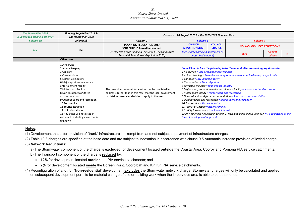| <b>The Noosa Plan 2006</b><br>(Superseded planning scheme) | <b>Planning Regulation 2017 &amp;</b><br>The Noosa Plan 2020                                                                                                                                                                                                                                                                                                                                                           | Current at: 28 August 2020 for the 2020-2021 Financial Year                                                                                                                   |                                                                                                                                                                                                                                                                                                                                                                                                                                                                                                                                |                                                                                                                                                                                                                                                                                                                                                                  |  |  |
|------------------------------------------------------------|------------------------------------------------------------------------------------------------------------------------------------------------------------------------------------------------------------------------------------------------------------------------------------------------------------------------------------------------------------------------------------------------------------------------|-------------------------------------------------------------------------------------------------------------------------------------------------------------------------------|--------------------------------------------------------------------------------------------------------------------------------------------------------------------------------------------------------------------------------------------------------------------------------------------------------------------------------------------------------------------------------------------------------------------------------------------------------------------------------------------------------------------------------|------------------------------------------------------------------------------------------------------------------------------------------------------------------------------------------------------------------------------------------------------------------------------------------------------------------------------------------------------------------|--|--|
| Column 1a                                                  | Column 1b                                                                                                                                                                                                                                                                                                                                                                                                              | Column <sub>2</sub>                                                                                                                                                           | Column 3                                                                                                                                                                                                                                                                                                                                                                                                                                                                                                                       | Column <sub>4</sub>                                                                                                                                                                                                                                                                                                                                              |  |  |
|                                                            |                                                                                                                                                                                                                                                                                                                                                                                                                        | <b>PLANNING REGULATION 2017</b><br><b>SCHEDULE 16 Prescribed amount</b>                                                                                                       | <b>COUNCIL</b><br><b>COUNCIL</b><br><b>APPORTIONMENT</b><br><b>CHARGE</b>                                                                                                                                                                                                                                                                                                                                                                                                                                                      | <b>COUNCIL INCLUDED REDUCTIONS</b>                                                                                                                                                                                                                                                                                                                               |  |  |
| <b>Use</b>                                                 | <b>Use</b>                                                                                                                                                                                                                                                                                                                                                                                                             | (As inserted by the Planning Legislation (Fees and Other<br>Amounts) Amendment Regulation 2020)                                                                               | (per Charges breakup agreement of<br><b>Prescribed amount)</b>                                                                                                                                                                                                                                                                                                                                                                                                                                                                 | Amount<br><b>Basis</b><br>reduced                                                                                                                                                                                                                                                                                                                                |  |  |
|                                                            | Other uses                                                                                                                                                                                                                                                                                                                                                                                                             |                                                                                                                                                                               |                                                                                                                                                                                                                                                                                                                                                                                                                                                                                                                                |                                                                                                                                                                                                                                                                                                                                                                  |  |  |
|                                                            | 1 Air service<br>2 Animal keeping<br>3 Car park<br>4 Crematorium<br>5 Extractive industry<br>6 Major sport, recreation and<br>entertainment facility<br>7 Motor sport facility<br>8 Non-resident workforce<br>accommodation<br>9 Outdoor sport and recreation<br>10 Port service<br>11 Tourist attraction<br>12 Utility installation<br>13 Any other use not listed in<br>column 1, including a use that is<br>unknown | The prescribed amount for another similar use listed in<br>column 1 (other than in this row) that the local government<br>or distributor-retailer decides to apply to the use | 1 Air service = Low-Medium impact industry<br>3 Car park = Low impact industry<br>4 Crematorium = Funeral parlour<br>5 Extractive industry = High impact industry<br>7 Motor sport facility = Indoor sport and recreation<br>8 Non-resident workforce accommodation = Short-term accommodation<br>9 Outdoor sport and recreation = Indoor sport and recreation<br>10 Port service = Marine industry<br>11 Tourist attraction = Resort complex<br>12 Utility installation = Low impact industry<br>time of development approval | Council has decided the following to be the most similar uses and appropriate rates:<br>2 Animal keeping = Animal husbandry or Intensive animal husbandry as applicable<br>6 Major sport, recreation and entertainment facility = Indoor sport and recreation<br>13 Any other use not listed in column 1, including a use that is unknown = To be decided at the |  |  |

#### **Notes:**

(1) Development that is for provision of "trunk" infrastructure is exempt from and not subject to payment of infrastructure charges.

(2) Table 10.3 charges are specified at the base date and are subject to indexation in accordance with clause 9.5 Automatic increase provision of levied charge.

#### (3) **Network Reductions**:

a) The Stormwater component of the charge is **excluded** for development located **outside** the Coastal Area, Cooroy and Pomona PIA service catchments.

- b) The Transport component of the charge is **reduced** by:
	- **12%** for development located **outside** the PIA service catchments; and
	- **2%** for development located **inside** the Boreen Point, Cooroibah and Kin Kin PIA service catchments.
- (4) Reconfiguration of a lot for "**Non-residential**" development **excludes** the Stormwater network charge. Stormwater charges will only be calculated and applied on subsequent development permits for material change of use or building work when the impervious area is able to be determined.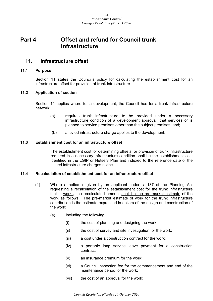## <span id="page-23-0"></span>**Part 4 Offset and refund for Council trunk infrastructure**

## <span id="page-23-1"></span>**11. Infrastructure offset**

#### <span id="page-23-2"></span>**11.1 Purpose**

Section 11 states the Council's policy for calculating the establishment cost for an infrastructure offset for provision of trunk infrastructure.

#### <span id="page-23-3"></span>**11.2 Application of section**

Section 11 applies where for a development, the Council has for a trunk infrastructure network:

- (a) requires trunk infrastructure to be provided under a necessary infrastructure condition of a development approval, that services or is planned to service premises other than the subject premises; and;
- (b) a levied infrastructure charge applies to the development.

#### <span id="page-23-4"></span>**11.3 Establishment cost for an infrastructure offset**

The establishment cost for determining offsets for provision of trunk infrastructure required in a necessary infrastructure condition shall be the establishment cost identified in the LGIP or Netserv Plan and indexed to the reference date of the issued infrastructure charges notice.

#### <span id="page-23-5"></span>**11.4 Recalculation of establishment cost for an infrastructure offset**

- (1) Where a notice is given by an applicant under s. 137 of the Planning Act requesting a recalculation of the establishment cost for the trunk infrastructure that is works, the recalculated amount shall be the pre-market estimate of the work as follows: The pre-market estimate of work for the trunk infrastructure contribution is the estimate expressed in dollars of the design and construction of the work:
	- (a) including the following:
		- (i) the cost of planning and designing the work;
		- (ii) the cost of survey and site investigation for the work;
		- (iii) a cost under a construction contract for the work;
		- (iv) a portable long service leave payment for a construction contract;
		- (v) an insurance premium for the work;
		- (vi) a Council inspection fee for the commencement and end of the maintenance period for the work;
		- (vii) the cost of an approval for the work;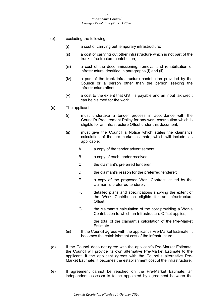- (b) excluding the following:
	- (i) a cost of carrying out temporary infrastructure;
	- (ii) a cost of carrying out other infrastructure which is not part of the trunk infrastructure contribution;
	- (iii) a cost of the decommissioning, removal and rehabilitation of infrastructure identified in paragraphs (i) and (ii);
	- (iv) a part of the trunk infrastructure contribution provided by the Council or a person other than the person seeking the infrastructure offset;
	- (v) a cost to the extent that GST is payable and an input tax credit can be claimed for the work.
- (c) The applicant:
	- (i) must undertake a tender process in accordance with the Council's Procurement Policy for any work contribution which is eligible for an Infrastructure Offset under this document;
	- (ii) must give the Council a Notice which states the claimant's calculation of the pre-market estimate, which will include, as applicable;
		- A. a copy of the tender advertisement;
		- B. a copy of each tender received;
		- C. the claimant's preferred tenderer;
		- D. the claimant's reason for the preferred tenderer;
		- E. a copy of the proposed Work Contract issued by the claimant's preferred tenderer;
		- F. detailed plans and specifications showing the extent of the Work Contribution eligible for an Infrastructure Offset;
		- G. the claimant's calculation of the cost providing a Works Contribution to which an Infrastructure Offset applies;
		- H. the total of the claimant's calculation of the Pre-Market Estimate.
	- (iii) If the Council agrees with the applicant's Pre-Market Estimate, it becomes the establishment cost of the infrastructure.
- (d) If the Council does not agree with the applicant's Pre-Market Estimate, the Council will provide its own alternative Pre-Market Estimate to the applicant. If the applicant agrees with the Council's alternative Pre-Market Estimate, it becomes the establishment cost of the infrastructure.
- (e) If agreement cannot be reached on the Pre-Market Estimate, an independent assessor is to be appointed by agreement between the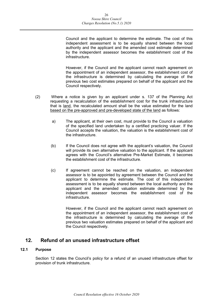Council and the applicant to determine the estimate. The cost of this independent assessment is to be equally shared between the local authority and the applicant and the amended cost estimate determined by the independent assessor becomes the establishment cost of the infrastructure.

However, if the Council and the applicant cannot reach agreement on the appointment of an independent assessor, the establishment cost of the infrastructure is determined by calculating the average of the previous two cost estimates prepared on behalf of the applicant and the Council respectively.

- (2) Where a notice is given by an applicant under s. 137 of the Planning Act requesting a recalculation of the establishment cost for the trunk infrastructure that is land, the recalculated amount shall be the value estimated for the land based on the pre-approved and pre-developed state of the land as follows:
	- a) The applicant, at their own cost, must provide to the Council a valuation of the specified land undertaken by a certified practicing valuer. If the Council accepts the valuation, the valuation is the establishment cost of the infrastructure.
	- (b) If the Council does not agree with the applicant's valuation, the Council will provide its own alternative valuation to the applicant. If the applicant agrees with the Council's alternative Pre-Market Estimate, it becomes the establishment cost of the infrastructure.
	- (c) If agreement cannot be reached on the valuation, an independent assessor is to be appointed by agreement between the Council and the applicant to determine the estimate. The cost of this independent assessment is to be equally shared between the local authority and the applicant and the amended valuation estimate determined by the independent assessor becomes the establishment cost of the infrastructure.

However, if the Council and the applicant cannot reach agreement on the appointment of an independent assessor, the establishment cost of the infrastructure is determined by calculating the average of the previous two valuation estimates prepared on behalf of the applicant and the Council respectively.

## <span id="page-25-0"></span>**12. Refund of an unused infrastructure offset**

#### <span id="page-25-1"></span>**12.1 Purpose**

Section 12 states the Council's policy for a refund of an unused infrastructure offset for provision of trunk infrastructure.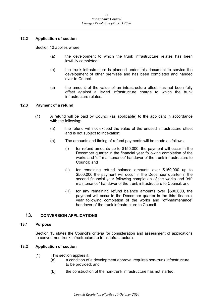#### <span id="page-26-0"></span>**12.2 Application of section**

Section 12 applies where:

- (a) the development to which the trunk infrastructure relates has been lawfully completed;
- (b) the trunk infrastructure is planned under this document to service the development of other premises and has been completed and handed over to Council;
- (c) the amount of the value of an infrastructure offset has not been fully offset against a levied infrastructure charge to which the trunk infrastructure relates.

#### <span id="page-26-1"></span>**12.3 Payment of a refund**

- (1) A refund will be paid by Council (as applicable) to the applicant in accordance with the following:
	- (a) the refund will not exceed the value of the unused infrastructure offset and is not subject to indexation;
	- (b) The amounts and timing of refund payments will be made as follows:
		- (i) for refund amounts up to \$150,000, the payment will occur in the December quarter in the financial year following completion of the works and "off-maintenance" handover of the trunk infrastructure to Council; and
		- (ii) for remaining refund balance amounts over \$150,000 up to \$500,000 the payment will occur in the December quarter in the second financial year following completion of the works and "offmaintenance" handover of the trunk infrastructure to Council; and
		- (iii) for any remaining refund balance amounts over \$500,000, the payment will occur in the December quarter in the third financial year following completion of the works and "off-maintenance" handover of the trunk infrastructure to Council.

#### <span id="page-26-2"></span>**13. CONVERSION APPLICATIONS**

#### <span id="page-26-3"></span>**13.1 Purpose**

Section 13 states the Council's criteria for consideration and assessment of applications to convert non-trunk infrastructure to trunk infrastructure.

#### <span id="page-26-4"></span>**13.2 Application of section**

- (1) This section applies if:
	- (a) a condition of a development approval requires non-trunk infrastructure to be provided; and
	- (b) the construction of the non-trunk infrastructure has not started.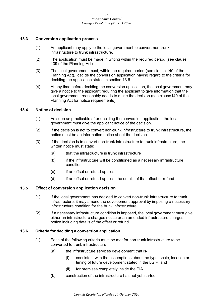#### <span id="page-27-0"></span>**13.3 Conversion application process**

- (1) An applicant may apply to the local government to convert non-trunk infrastructure to trunk infrastructure.
- (2) The application must be made in writing within the required period (see clause 139 of the Planning Act).
- (3) The local government must, within the required period (see clause 140 of the Planning Act), decide the conversion application having regard to the criteria for deciding the application stated in section 13.6.
- (4) At any time before deciding the conversion application, the local government may give a notice to the applicant requiring the applicant to give information that the local government reasonably needs to make the decision (see clause140 of the Planning Act for notice requirements).

#### <span id="page-27-1"></span>**13.4 Notice of decision**

- (1) As soon as practicable after deciding the conversion application, the local government must give the applicant notice of the decision.
- (2) If the decision is not to convert non-trunk infrastructure to trunk infrastructure, the notice must be an information notice about the decision.
- (3) If the decision is to convert non-trunk infrastructure to trunk infrastructure, the written notice must state:
	- (a) that the infrastructure is trunk infrastructure
	- (b) if the infrastructure will be conditioned as a necessary infrastructure condition
	- (c) if an offset or refund applies
	- (d) if an offset or refund applies, the details of that offset or refund.

#### <span id="page-27-2"></span>**13.5 Effect of conversion application decision**

- (1) If the local government has decided to convert non-trunk infrastructure to trunk infrastructure, it may amend the development approval by imposing a necessary infrastructure condition for the trunk infrastructure.
- (2) If a necessary infrastructure condition is imposed, the local government must give either an infrastructure charges notice or an amended infrastructure charges notice including details of the offset or refund.

#### <span id="page-27-3"></span>**13.6 Criteria for deciding a conversion application**

- (1) Each of the following criteria must be met for non-trunk infrastructure to be converted to trunk infrastructure :
	- (a) the infrastructure services development that is-
		- (i) consistent with the assumptions about the type, scale, location or timing of future development stated in the LGIP; and
		- (ii) for premises completely inside the PIA.
	- (b) construction of the infrastructure has not yet started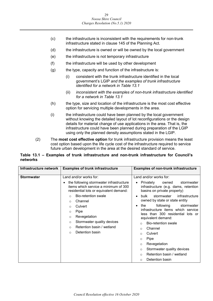- (c) the infrastructure is inconsistent with the requirements for non-trunk infrastructure stated in clause 145 of the Planning Act.
- (d) the infrastructure is owned or will be owned by the local government
- (e) the infrastructure is not temporary infrastructure
- (f) the infrastructure will be used by other development
- $(g)$  the type, capacity and function of the infrastructure is:
	- (i) consistent with the trunk infrastructure identified in the local government's LGIP *and the examples of trunk infrastructure identified for a network in Table 13.1*
	- (ii) *inconsistent with the examples of non-trunk infrastructure identified for a network in Table 13.1*
- (h) the type, size and location of the infrastructure is the most cost effective option for servicing multiple developments in the area.
- (i) the infrastructure could have been planned by the local government without knowing the detailed layout of lot reconfigurations or the design details for material change of use applications in the area. That is, the infrastructure could have been planned during preparation of the LGIP using only the planned density assumptions stated in the LGIP.
- (2) The **most cost effective option** for trunk infrastructure provision means the least cost option based upon the life cycle cost of the infrastructure required to service future urban development in the area at the desired standard of service.

#### **Table 13.1 – Examples of trunk infrastructure and non-trunk infrastructure for Council's networks**

| Infrastructure network | <b>Examples of trunk infrastructure</b>                                                                                                                                                                                                                                                                                                                                                                 | <b>Examples of non-trunk infrastructure</b>                                                                                                                                                                                                                                                                                                                                                                                                                                                                                                                                                                           |
|------------------------|---------------------------------------------------------------------------------------------------------------------------------------------------------------------------------------------------------------------------------------------------------------------------------------------------------------------------------------------------------------------------------------------------------|-----------------------------------------------------------------------------------------------------------------------------------------------------------------------------------------------------------------------------------------------------------------------------------------------------------------------------------------------------------------------------------------------------------------------------------------------------------------------------------------------------------------------------------------------------------------------------------------------------------------------|
| <b>Stormwater</b>      | Land and/or works for:<br>the following stormwater infrastructure<br>items which service a minimum of 300<br>residential lots or equivalent demand:<br><b>Bio-retention swale</b><br>$\Omega$<br>Channel<br>$\circ$<br>Culvert<br>$\circ$<br>Pipe<br>$\circ$<br>Revegetation<br>$\circ$<br>Stormwater quality devices<br>$\circ$<br>Retention basin / wetland<br>$\Omega$<br>Detention basin<br>$\circ$ | Land and/or works for:<br>Privately<br>owned<br>stormwater<br>infrastructure (e.g. dams, retention<br>basins on private property)<br>infrastructure<br>bulk<br>stormwater<br>$\bullet$<br>owned by state or state entity<br>following<br>the<br>stormwater<br>٠<br>infrastructure items which service<br>less than 300 residential lots or<br>equivalent demand:<br><b>Bio-retention swale</b><br>$\Omega$<br>Channel<br>$\circ$<br>Culvert<br>$\Omega$<br>Pipe<br>$\circ$<br>Revegetation<br>$\circ$<br>Stormwater quality devices<br>$\circ$<br>Retention basin / wetland<br>$\circ$<br>Detention basin<br>$\Omega$ |